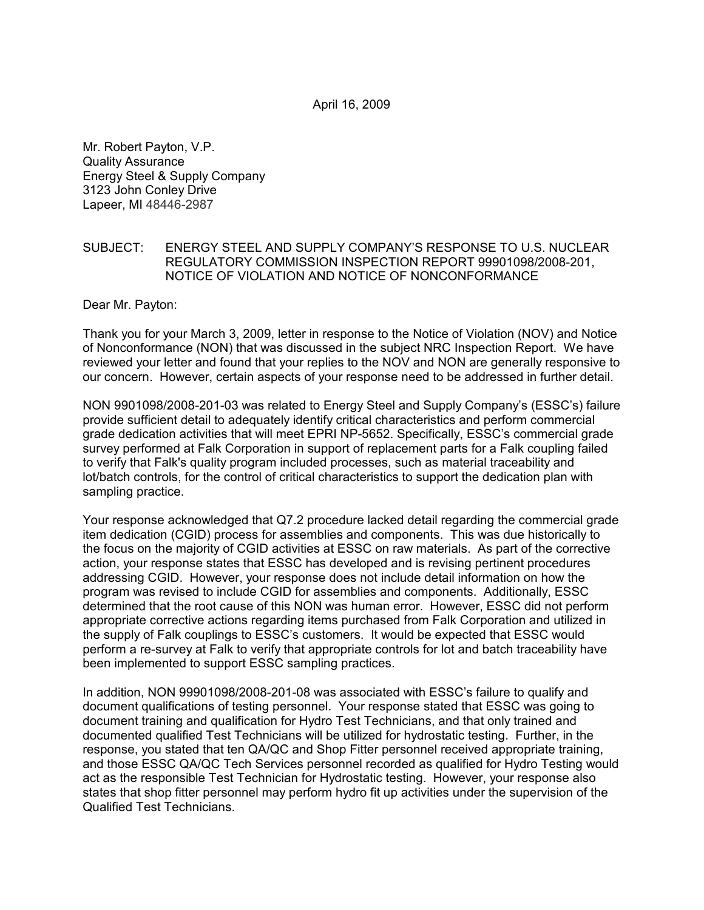April 16, 2009

Mr. Robert Payton, V.P. Quality Assurance Energy Steel & Supply Company 3123 John Conley Drive Lapeer, MI 48446-2987

# SUBJECT: ENERGY STEEL AND SUPPLY COMPANY'S RESPONSE TO U.S. NUCLEAR REGULATORY COMMISSION INSPECTION REPORT 99901098/2008-201, NOTICE OF VIOLATION AND NOTICE OF NONCONFORMANCE

Dear Mr. Payton:

Thank you for your March 3, 2009, letter in response to the Notice of Violation (NOV) and Notice of Nonconformance (NON) that was discussed in the subject NRC Inspection Report. We have reviewed your letter and found that your replies to the NOV and NON are generally responsive to our concern. However, certain aspects of your response need to be addressed in further detail.

NON 9901098/2008-201-03 was related to Energy Steel and Supply Company's (ESSC's) failure provide sufficient detail to adequately identify critical characteristics and perform commercial grade dedication activities that will meet EPRI NP-5652. Specifically, ESSC's commercial grade survey performed at Falk Corporation in support of replacement parts for a Falk coupling failed to verify that Falk's quality program included processes, such as material traceability and lot/batch controls, for the control of critical characteristics to support the dedication plan with sampling practice.

Your response acknowledged that Q7.2 procedure lacked detail regarding the commercial grade item dedication (CGID) process for assemblies and components. This was due historically to the focus on the majority of CGID activities at ESSC on raw materials. As part of the corrective action, your response states that ESSC has developed and is revising pertinent procedures addressing CGID. However, your response does not include detail information on how the program was revised to include CGID for assemblies and components. Additionally, ESSC determined that the root cause of this NON was human error. However, ESSC did not perform appropriate corrective actions regarding items purchased from Falk Corporation and utilized in the supply of Falk couplings to ESSC's customers. It would be expected that ESSC would perform a re-survey at Falk to verify that appropriate controls for lot and batch traceability have been implemented to support ESSC sampling practices.

In addition, NON 99901098/2008-201-08 was associated with ESSC's failure to qualify and document qualifications of testing personnel. Your response stated that ESSC was going to document training and qualification for Hydro Test Technicians, and that only trained and documented qualified Test Technicians will be utilized for hydrostatic testing. Further, in the response, you stated that ten QA/QC and Shop Fitter personnel received appropriate training, and those ESSC QA/QC Tech Services personnel recorded as qualified for Hydro Testing would act as the responsible Test Technician for Hydrostatic testing. However, your response also states that shop fitter personnel may perform hydro fit up activities under the supervision of the Qualified Test Technicians.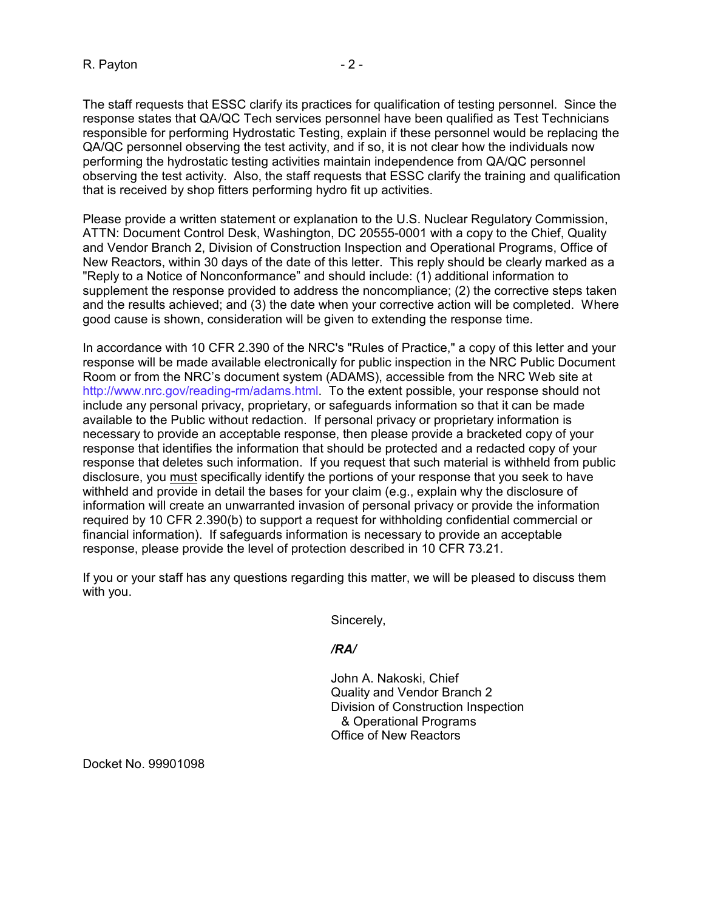The staff requests that ESSC clarify its practices for qualification of testing personnel. Since the response states that QA/QC Tech services personnel have been qualified as Test Technicians responsible for performing Hydrostatic Testing, explain if these personnel would be replacing the QA/QC personnel observing the test activity, and if so, it is not clear how the individuals now performing the hydrostatic testing activities maintain independence from QA/QC personnel observing the test activity. Also, the staff requests that ESSC clarify the training and qualification that is received by shop fitters performing hydro fit up activities.

Please provide a written statement or explanation to the U.S. Nuclear Regulatory Commission, ATTN: Document Control Desk, Washington, DC 20555-0001 with a copy to the Chief, Quality and Vendor Branch 2, Division of Construction Inspection and Operational Programs, Office of New Reactors, within 30 days of the date of this letter. This reply should be clearly marked as a "Reply to a Notice of Nonconformance" and should include: (1) additional information to supplement the response provided to address the noncompliance; (2) the corrective steps taken and the results achieved; and (3) the date when your corrective action will be completed. Where good cause is shown, consideration will be given to extending the response time.

In accordance with 10 CFR 2.390 of the NRC's "Rules of Practice," a copy of this letter and your response will be made available electronically for public inspection in the NRC Public Document Room or from the NRC's document system (ADAMS), accessible from the NRC Web site at http://www.nrc.gov/reading-rm/adams.html. To the extent possible, your response should not include any personal privacy, proprietary, or safeguards information so that it can be made available to the Public without redaction. If personal privacy or proprietary information is necessary to provide an acceptable response, then please provide a bracketed copy of your response that identifies the information that should be protected and a redacted copy of your response that deletes such information. If you request that such material is withheld from public disclosure, you must specifically identify the portions of your response that you seek to have withheld and provide in detail the bases for your claim (e.g., explain why the disclosure of information will create an unwarranted invasion of personal privacy or provide the information required by 10 CFR 2.390(b) to support a request for withholding confidential commercial or financial information). If safeguards information is necessary to provide an acceptable response, please provide the level of protection described in 10 CFR 73.21.

If you or your staff has any questions regarding this matter, we will be pleased to discuss them with you.

Sincerely,

### */RA/*

John A. Nakoski, Chief Quality and Vendor Branch 2 Division of Construction Inspection & Operational Programs Office of New Reactors

Docket No. 99901098